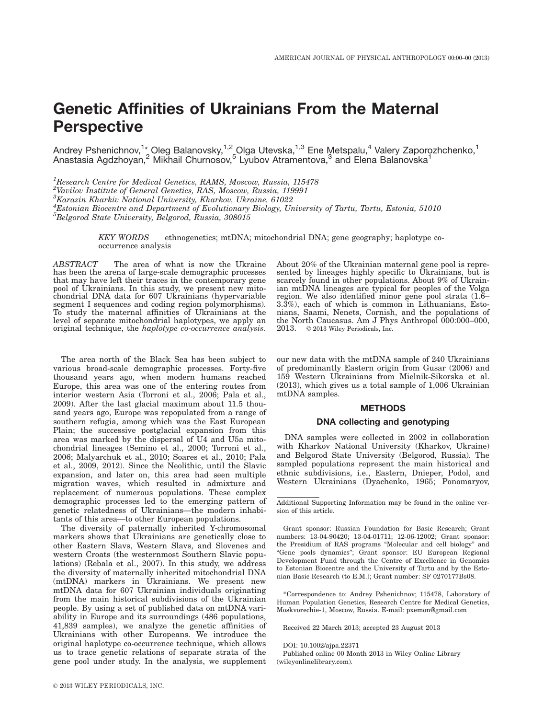# Genetic Affinities of Ukrainians From the Maternal **Perspective**

Andrey Pshenichnov,<sup>1\*</sup> Oleg Balanovsky,<sup>1,2</sup> Olga Utevska,<sup>1,3</sup> Ene Metspalu,<sup>4</sup> Valery Zaporozhchenko,<sup>1</sup> Anastasia Agdzhoyan,<sup>2</sup> Mikhail Churnosov,<sup>5</sup> Lyubov Atramentova,<sup>3</sup> and Elena Balanovska<sup>1</sup>

<sup>1</sup>Research Centre for Medical Genetics, RAMS, Moscow, Russia, 115478 <sup>2</sup>Vavilov Institute of General Genetics, RAS, Moscow, Russia, 119991  ${}^{3}$ Karazin Kharkiv National University, Kharkov, Ukraine, 61022 4 Estonian Biocentre and Department of Evolutionary Biology, University of Tartu, Tartu, Estonia, 51010  ${}^{5}$ Belgorod State University, Belgorod, Russia, 308015

> KEY WORDS ethnogenetics; mtDNA; mitochondrial DNA; gene geography; haplotype cooccurrence analysis

ABSTRACT The area of what is now the Ukraine has been the arena of large-scale demographic processes that may have left their traces in the contemporary gene pool of Ukrainians. In this study, we present new mitochondrial DNA data for 607 Ukrainians (hypervariable segment I sequences and coding region polymorphisms). To study the maternal affinities of Ukrainians at the level of separate mitochondrial haplotypes, we apply an original technique, the haplotype co-occurrence analysis.

The area north of the Black Sea has been subject to various broad-scale demographic processes. Forty-five thousand years ago, when modern humans reached Europe, this area was one of the entering routes from interior western Asia (Torroni et al., 2006; Pala et al., 2009). After the last glacial maximum about 11.5 thousand years ago, Europe was repopulated from a range of southern refugia, among which was the East European Plain; the successive postglacial expansion from this area was marked by the dispersal of U4 and U5a mitochondrial lineages (Semino et al., 2000; Torroni et al., 2006; Malyarchuk et al., 2010; Soares et al., 2010; Pala et al., 2009, 2012). Since the Neolithic, until the Slavic expansion, and later on, this area had seen multiple migration waves, which resulted in admixture and replacement of numerous populations. These complex demographic processes led to the emerging pattern of genetic relatedness of Ukrainians—the modern inhabitants of this area—to other European populations.

The diversity of paternally inherited Y-chromosomal markers shows that Ukrainians are genetically close to other Eastern Slavs, Western Slavs, and Slovenes and western Croats (the westernmost Southern Slavic populations) (Rebala et al., 2007). In this study, we address the diversity of maternally inherited mitochondrial DNA (mtDNA) markers in Ukrainians. We present new mtDNA data for 607 Ukrainian individuals originating from the main historical subdivisions of the Ukrainian people. By using a set of published data on mtDNA variability in Europe and its surroundings (486 populations, 41,839 samples), we analyze the genetic affinities of Ukrainians with other Europeans. We introduce the original haplotype co-occurrence technique, which allows us to trace genetic relations of separate strata of the gene pool under study. In the analysis, we supplement About 20% of the Ukrainian maternal gene pool is represented by lineages highly specific to Ukrainians, but is scarcely found in other populations. About 9% of Ukrainian mtDNA lineages are typical for peoples of the Volga region. We also identified minor gene pool strata (1.6– 3.3%), each of which is common in Lithuanians, Estonians, Saami, Nenets, Cornish, and the populations of the North Caucasus. Am J Phys Anthropol 000:000–000, 2013.  $\circ$  2013 Wiley Periodicals, Inc.

our new data with the mtDNA sample of 240 Ukrainians of predominantly Eastern origin from Gusar (2006) and 159 Western Ukrainians from Mielnik-Sikorska et al. (2013), which gives us a total sample of 1,006 Ukrainian mtDNA samples.

#### METHODS

# DNA collecting and genotyping

DNA samples were collected in 2002 in collaboration with Kharkov National University (Kharkov, Ukraine) and Belgorod State University (Belgorod, Russia). The sampled populations represent the main historical and ethnic subdivisions, i.e., Eastern, Dnieper, Podol, and Western Ukrainians (Dyachenko, 1965; Ponomaryov,

\*Correspondence to: Andrey Pshenichnov; 115478, Laboratory of Human Population Genetics, Research Centre for Medical Genetics, Moskvorechie-1, Moscow, Russia. E-mail: pxemon@gmail.com

Received 22 March 2013; accepted 23 August 2013

DOI: 10.1002/ajpa.22371

Published online 00 Month 2013 in Wiley Online Library (wileyonlinelibrary.com).

Additional Supporting Information may be found in the online version of this article.

Grant sponsor: Russian Foundation for Basic Research; Grant numbers: 13-04-90420; 13-04-01711; 12-06-12002; Grant sponsor: the Presidium of RAS programs "Molecular and cell biology" and "Gene pools dynamics"; Grant sponsor: EU European Regional Development Fund through the Centre of Excellence in Genomics to Estonian Biocentre and the University of Tartu and by the Estonian Basic Research (to E.M.); Grant number: SF 0270177Bs08.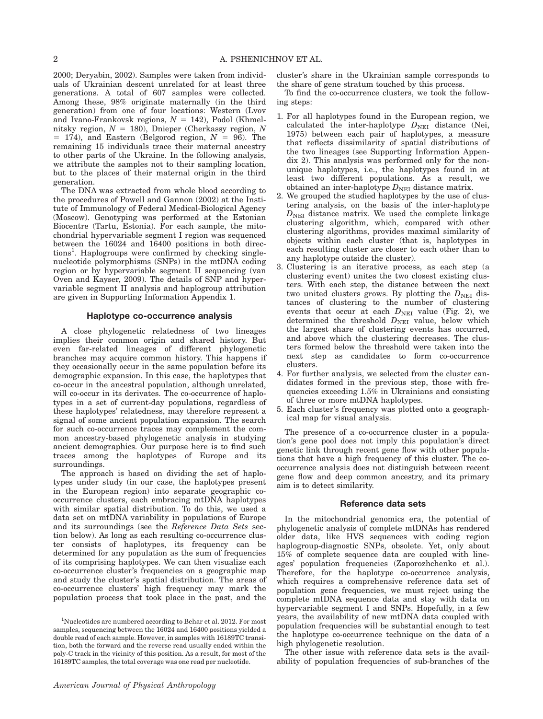2000; Deryabin, 2002). Samples were taken from individuals of Ukrainian descent unrelated for at least three generations. A total of 607 samples were collected. Among these, 98% originate maternally (in the third generation) from one of four locations: Western (Lvov and Ivano-Frankovsk regions,  $N = 142$ ), Podol (Khmelnitsky region,  $N = 180$ ), Dnieper (Cherkassy region, N  $= 174$ ), and Eastern (Belgorod region,  $N = 96$ ). The remaining 15 individuals trace their maternal ancestry to other parts of the Ukraine. In the following analysis, we attribute the samples not to their sampling location, but to the places of their maternal origin in the third generation.

The DNA was extracted from whole blood according to the procedures of Powell and Gannon (2002) at the Institute of Immunology of Federal Medical-Biological Agency (Moscow). Genotyping was performed at the Estonian Biocentre (Tartu, Estonia). For each sample, the mitochondrial hypervariable segment I region was sequenced between the 16024 and 16400 positions in both directions<sup>1</sup>. Haplogroups were confirmed by checking singlenucleotide polymorphisms (SNPs) in the mtDNA coding region or by hypervariable segment II sequencing (van Oven and Kayser, 2009). The details of SNP and hypervariable segment II analysis and haplogroup attribution are given in Supporting Information Appendix 1.

# Haplotype co-occurrence analysis

A close phylogenetic relatedness of two lineages implies their common origin and shared history. But even far-related lineages of different phylogenetic branches may acquire common history. This happens if they occasionally occur in the same population before its demographic expansion. In this case, the haplotypes that co-occur in the ancestral population, although unrelated, will co-occur in its derivates. The co-occurrence of haplotypes in a set of current-day populations, regardless of these haplotypes' relatedness, may therefore represent a signal of some ancient population expansion. The search for such co-occurrence traces may complement the common ancestry-based phylogenetic analysis in studying ancient demographics. Our purpose here is to find such traces among the haplotypes of Europe and its surroundings.

The approach is based on dividing the set of haplotypes under study (in our case, the haplotypes present in the European region) into separate geographic cooccurrence clusters, each embracing mtDNA haplotypes with similar spatial distribution. To do this, we used a data set on mtDNA variability in populations of Europe and its surroundings (see the Reference Data Sets section below). As long as each resulting co-occurrence cluster consists of haplotypes, its frequency can be determined for any population as the sum of frequencies of its comprising haplotypes. We can then visualize each co-occurrence cluster's frequencies on a geographic map and study the cluster's spatial distribution. The areas of co-occurrence clusters' high frequency may mark the population process that took place in the past, and the cluster's share in the Ukrainian sample corresponds to the share of gene stratum touched by this process.

To find the co-occurrence clusters, we took the following steps:

- 1. For all haplotypes found in the European region, we calculated the inter-haplotype  $D_{\text{NEI}}$  distance (Nei, 1975) between each pair of haplotypes, a measure that reflects dissimilarity of spatial distributions of the two lineages (see Supporting Information Appendix 2). This analysis was performed only for the nonunique haplotypes, i.e., the haplotypes found in at least two different populations. As a result, we obtained an inter-haplotype  $D_{\text{NEI}}$  distance matrix.
- 2. We grouped the studied haplotypes by the use of clustering analysis, on the basis of the inter-haplotype  $D<sub>NET</sub>$  distance matrix. We used the complete linkage clustering algorithm, which, compared with other clustering algorithms, provides maximal similarity of objects within each cluster (that is, haplotypes in each resulting cluster are closer to each other than to any haplotype outside the cluster).
- 3. Clustering is an iterative process, as each step (a clustering event) unites the two closest existing clusters. With each step, the distance between the next two united clusters grows. By plotting the  $D_{\text{NEI}}$  distances of clustering to the number of clustering events that occur at each  $D_{\text{NEI}}$  value (Fig. 2), we determined the threshold  $D<sub>NEI</sub>$  value, below which the largest share of clustering events has occurred, and above which the clustering decreases. The clusters formed below the threshold were taken into the next step as candidates to form co-occurrence clusters.
- 4. For further analysis, we selected from the cluster candidates formed in the previous step, those with frequencies exceeding 1.5% in Ukrainians and consisting of three or more mtDNA haplotypes.
- 5. Each cluster's frequency was plotted onto a geographical map for visual analysis.

The presence of a co-occurrence cluster in a population's gene pool does not imply this population's direct genetic link through recent gene flow with other populations that have a high frequency of this cluster. The cooccurrence analysis does not distinguish between recent gene flow and deep common ancestry, and its primary aim is to detect similarity.

#### Reference data sets

In the mitochondrial genomics era, the potential of phylogenetic analysis of complete mtDNAs has rendered older data, like HVS sequences with coding region haplogroup-diagnostic SNPs, obsolete. Yet, only about 15% of complete sequence data are coupled with lineages' population frequencies (Zaporozhchenko et al.). Therefore, for the haplotype co-occurrence analysis, which requires a comprehensive reference data set of population gene frequencies, we must reject using the complete mtDNA sequence data and stay with data on hypervariable segment I and SNPs. Hopefully, in a few years, the availability of new mtDNA data coupled with population frequencies will be substantial enough to test the haplotype co-occurrence technique on the data of a high phylogenetic resolution.

The other issue with reference data sets is the availability of population frequencies of sub-branches of the

<sup>&</sup>lt;sup>1</sup>Nucleotides are numbered according to Behar et al. 2012. For most samples, sequencing between the 16024 and 16400 positions yielded a double read of each sample. However, in samples with 16189TC transition, both the forward and the reverse read usually ended within the poly-C track in the vicinity of this position. As a result, for most of the 16189TC samples, the total coverage was one read per nucleotide.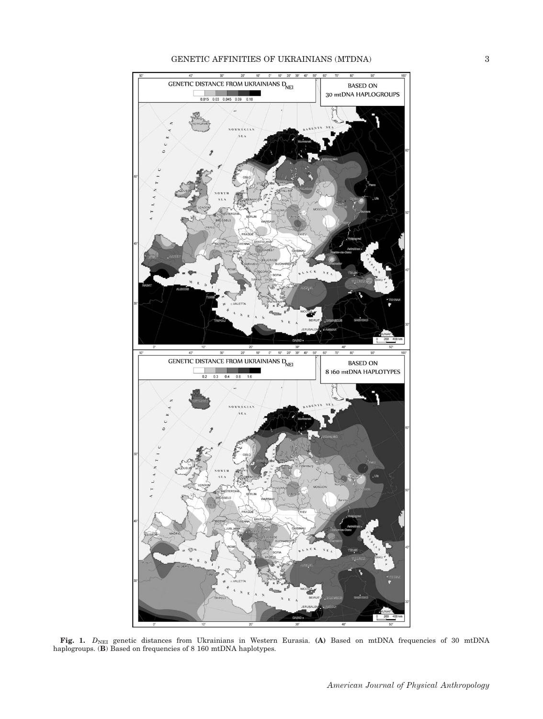

**Fig. 1.**  $D_{\text{NEI}}$  genetic distances from Ukrainians in Western Eurasia. (A) Based on mtDNA frequencies of 30 mtDNA haplogroups. (B) Based on frequencies of 8 160 mtDNA haplotypes.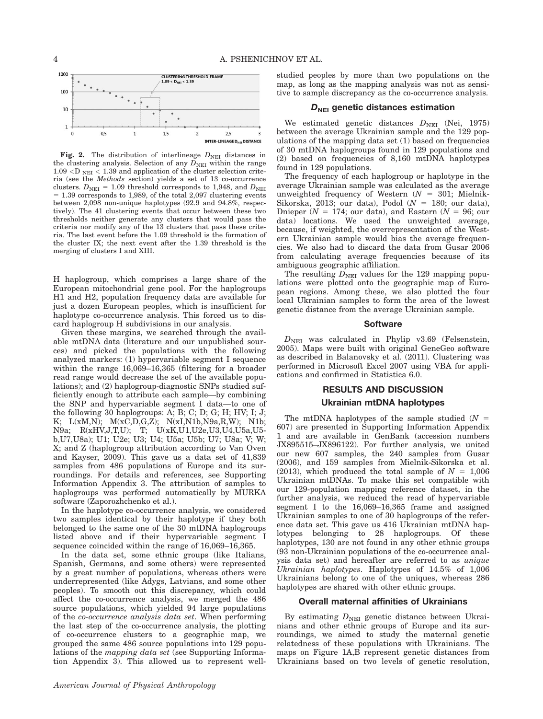

Fig. 2. The distribution of interlineage  $D_{\text{NEI}}$  distances in the clustering analysis. Selection of any  $D<sub>NEI</sub>$  within the range  $1.09 < D$ <sub>NEI</sub> < 1.39 and application of the cluster selection criteria (see the Methods section) yields a set of 13 co-occurrence clusters.  $D_{\text{NEI}} = 1.09$  threshold corresponds to 1,948, and  $D_{\text{NEI}}$  $= 1.39$  corresponds to 1,989, of the total 2,097 clustering events between 2,098 non-unique haplotypes (92.9 and 94.8%, respectively). The 41 clustering events that occur between these two thresholds neither generate any clusters that would pass the criteria nor modify any of the 13 clusters that pass these criteria. The last event before the 1.09 threshold is the formation of the cluster IX; the next event after the 1.39 threshold is the merging of clusters I and XIII.

H haplogroup, which comprises a large share of the European mitochondrial gene pool. For the haplogroups H1 and H2, population frequency data are available for just a dozen European peoples, which is insufficient for haplotype co-occurrence analysis. This forced us to discard haplogroup H subdivisions in our analysis.

Given these margins, we searched through the available mtDNA data (literature and our unpublished sources) and picked the populations with the following analyzed markers: (1) hypervariable segment I sequence within the range 16,069–16,365 (filtering for a broader read range would decrease the set of the available populations); and (2) haplogroup-diagnostic SNPs studied sufficiently enough to attribute each sample—by combining the SNP and hypervariable segment I data—to one of the following 30 haplogroups: A; B; C; D; G; H; HV; I; J; K; L(xM,N); M(xC,D,G,Z); N(xI,N1b,N9a,R,W); N1b; N9a; R(xHV,J,T,U); T; U(xK,U1,U2e,U3,U4,U5a,U5 b,U7,U8a); U1; U2e; U3; U4; U5a; U5b; U7; U8a; V; W; X; and Z (haplogroup attribution according to Van Oven and Kayser, 2009). This gave us a data set of 41,839 samples from 486 populations of Europe and its surroundings. For details and references, see Supporting Information Appendix 3. The attribution of samples to haplogroups was performed automatically by MURKA software (Zaporozhchenko et al.).

In the haplotype co-occurrence analysis, we considered two samples identical by their haplotype if they both belonged to the same one of the 30 mtDNA haplogroups listed above and if their hypervariable segment I sequence coincided within the range of 16,069–16,365.

In the data set, some ethnic groups (like Italians, Spanish, Germans, and some others) were represented by a great number of populations, whereas others were underrepresented (like Adygs, Latvians, and some other peoples). To smooth out this discrepancy, which could affect the co-occurrence analysis, we merged the 486 source populations, which yielded 94 large populations of the co-occurrence analysis data set. When performing the last step of the co-occurrence analysis, the plotting of co-occurrence clusters to a geographic map, we grouped the same 486 source populations into 129 populations of the mapping data set (see Supporting Information Appendix 3). This allowed us to represent wellstudied peoples by more than two populations on the map, as long as the mapping analysis was not as sensitive to sample discrepancy as the co-occurrence analysis.

# $D_{\text{NEI}}$  genetic distances estimation

We estimated genetic distances  $D_{\text{NEI}}$  (Nei, 1975) between the average Ukrainian sample and the 129 populations of the mapping data set (1) based on frequencies of 30 mtDNA haplogroups found in 129 populations and (2) based on frequencies of 8,160 mtDNA haplotypes found in 129 populations.

The frequency of each haplogroup or haplotype in the average Ukrainian sample was calculated as the average unweighted frequency of Western  $(N = 301;$  Mielnik-Sikorska, 2013; our data), Podol ( $N = 180$ ; our data), Dnieper ( $N = 174$ ; our data), and Eastern ( $N = 96$ ; our data) locations. We used the unweighted average, because, if weighted, the overrepresentation of the Western Ukrainian sample would bias the average frequencies. We also had to discard the data from Gusar 2006 from calculating average frequencies because of its ambiguous geographic affiliation.

The resulting  $D_{\text{NEI}}$  values for the 129 mapping populations were plotted onto the geographic map of European regions. Among these, we also plotted the four local Ukrainian samples to form the area of the lowest genetic distance from the average Ukrainian sample.

#### **Software**

 $D_{\text{NEI}}$  was calculated in Phylip v3.69 (Felsenstein, 2005). Maps were built with original GeneGeo software as described in Balanovsky et al. (2011). Clustering was performed in Microsoft Excel 2007 using VBA for applications and confirmed in Statistica 6.0.

#### RESULTS AND DISCUSSION

## Ukrainian mtDNA haplotypes

The mtDNA haplotypes of the sample studied  $(N =$ 607) are presented in Supporting Information Appendix 1 and are available in GenBank (accession numbers JX895515–JX896122). For further analysis, we united our new 607 samples, the 240 samples from Gusar (2006), and 159 samples from Mielnik-Sikorska et al. (2013), which produced the total sample of  $N = 1,006$ Ukrainian mtDNAs. To make this set compatible with our 129-population mapping reference dataset, in the further analysis, we reduced the read of hypervariable segment I to the 16,069–16,365 frame and assigned Ukrainian samples to one of 30 haplogroups of the reference data set. This gave us 416 Ukrainian mtDNA haplotypes belonging to 28 haplogroups. Of these haplotypes, 130 are not found in any other ethnic groups (93 non-Ukrainian populations of the co-occurrence analysis data set) and hereafter are referred to as unique Ukrainian haplotypes. Haplotypes of 14.5% of 1,006 Ukrainians belong to one of the uniques, whereas 286 haplotypes are shared with other ethnic groups.

# Overall maternal affinities of Ukrainians

By estimating  $D_{\text{NEI}}$  genetic distance between Ukrainians and other ethnic groups of Europe and its surroundings, we aimed to study the maternal genetic relatedness of these populations with Ukrainians. The maps on Figure 1A,B represent genetic distances from Ukrainians based on two levels of genetic resolution,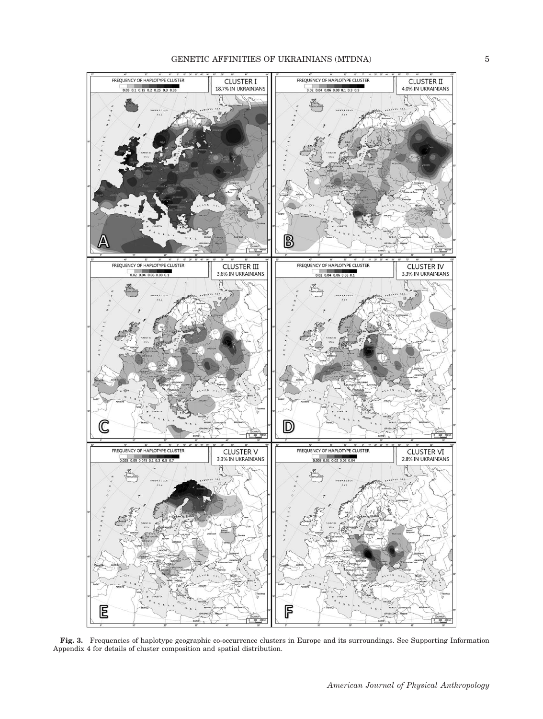

Fig. 3. Frequencies of haplotype geographic co-occurrence clusters in Europe and its surroundings. See Supporting Information Appendix 4 for details of cluster composition and spatial distribution.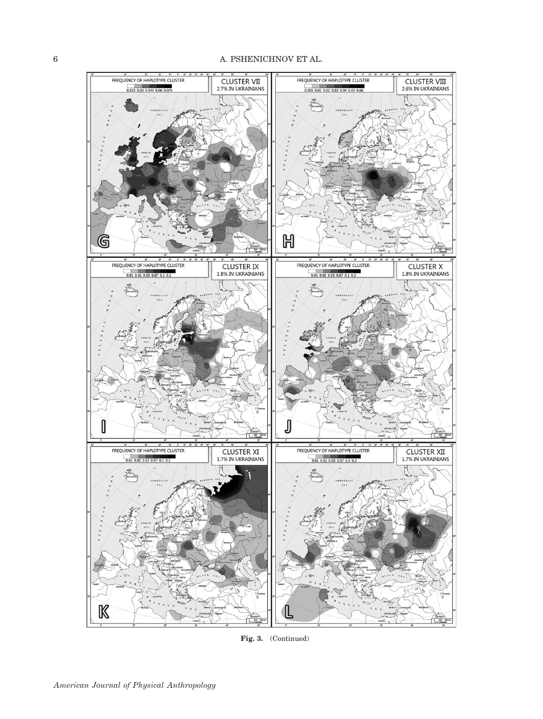

Fig. 3. (Continued)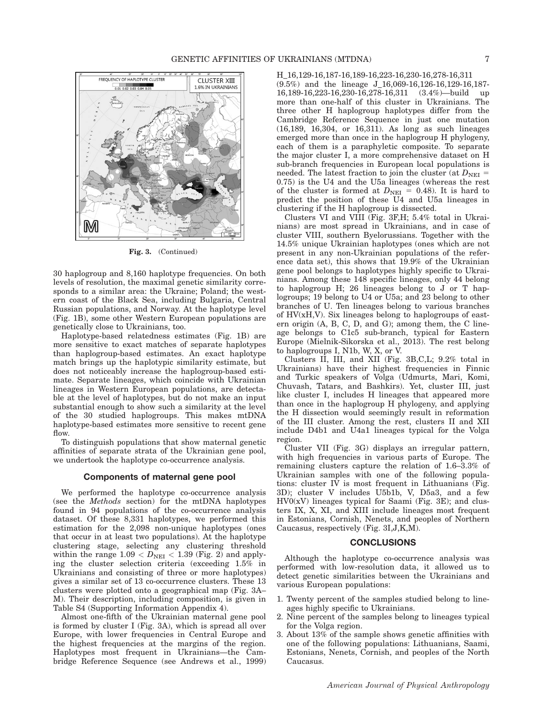

Fig. 3. (Continued)

30 haplogroup and 8,160 haplotype frequencies. On both levels of resolution, the maximal genetic similarity corresponds to a similar area: the Ukraine; Poland; the western coast of the Black Sea, including Bulgaria, Central Russian populations, and Norway. At the haplotype level (Fig. 1B), some other Western European populations are genetically close to Ukrainians, too.

Haplotype-based relatedness estimates (Fig. 1B) are more sensitive to exact matches of separate haplotypes than haplogroup-based estimates. An exact haplotype match brings up the haplotypic similarity estimate, but does not noticeably increase the haplogroup-based estimate. Separate lineages, which coincide with Ukrainian lineages in Western European populations, are detectable at the level of haplotypes, but do not make an input substantial enough to show such a similarity at the level of the 30 studied haplogroups. This makes mtDNA haplotype-based estimates more sensitive to recent gene flow.

To distinguish populations that show maternal genetic affinities of separate strata of the Ukrainian gene pool, we undertook the haplotype co-occurrence analysis.

## Components of maternal gene pool

We performed the haplotype co-occurrence analysis (see the Methods section) for the mtDNA haplotypes found in 94 populations of the co-occurrence analysis dataset. Of these 8,331 haplotypes, we performed this estimation for the 2,098 non-unique haplotypes (ones that occur in at least two populations). At the haplotype clustering stage, selecting any clustering threshold within the range  $1.09 < D<sub>NEI</sub> < 1.39$  (Fig. 2) and applying the cluster selection criteria (exceeding 1.5% in Ukrainians and consisting of three or more haplotypes) gives a similar set of 13 co-occurrence clusters. These 13 clusters were plotted onto a geographical map (Fig. 3A– M). Their description, including composition, is given in Table S4 (Supporting Information Appendix 4).

Almost one-fifth of the Ukrainian maternal gene pool is formed by cluster I (Fig. 3A), which is spread all over Europe, with lower frequencies in Central Europe and the highest frequencies at the margins of the region. Haplotypes most frequent in Ukrainians—the Cambridge Reference Sequence (see Andrews et al., 1999) H\_16,129-16,187-16,189-16,223-16,230-16,278-16,311

(9.5%) and the lineage J\_16,069-16,126-16,129-16,187-16,189-16,223-16,230-16,278-16,311 (3.4%)—build up 16,189-16,223-16,230-16,278-16,311 (3.4%)—build up more than one-half of this cluster in Ukrainians. The three other H haplogroup haplotypes differ from the Cambridge Reference Sequence in just one mutation (16,189, 16,304, or 16,311). As long as such lineages emerged more than once in the haplogroup H phylogeny, each of them is a paraphyletic composite. To separate the major cluster I, a more comprehensive dataset on H sub-branch frequencies in European local populations is needed. The latest fraction to join the cluster (at  $D_{\text{NEI}} =$ 0.75) is the U4 and the U5a lineages (whereas the rest of the cluster is formed at  $D_{\text{NEI}} = 0.48$ ). It is hard to predict the position of these U4 and U5a lineages in clustering if the H haplogroup is dissected.

Clusters VI and VIII (Fig. 3F,H; 5.4% total in Ukrainians) are most spread in Ukrainians, and in case of cluster VIII, southern Byelorussians. Together with the 14.5% unique Ukrainian haplotypes (ones which are not present in any non-Ukrainian populations of the reference data set), this shows that 19.9% of the Ukrainian gene pool belongs to haplotypes highly specific to Ukrainians. Among these 148 specific lineages, only 44 belong to haplogroup H; 26 lineages belong to J or T haplogroups; 19 belong to U4 or U5a; and 23 belong to other branches of U. Ten lineages belong to various branches of HV(xH,V). Six lineages belong to haplogroups of eastern origin (A, B, C, D, and G); among them, the C lineage belongs to C1c5 sub-branch, typical for Eastern Europe (Mielnik-Sikorska et al., 2013). The rest belong to haplogroups I, N1b, W, X, or V.

Clusters II, III, and XII (Fig. 3B,C,L; 9.2% total in Ukrainians) have their highest frequencies in Finnic and Turkic speakers of Volga (Udmurts, Mari, Komi, Chuvash, Tatars, and Bashkirs). Yet, cluster III, just like cluster I, includes H lineages that appeared more than once in the haplogroup H phylogeny, and applying the H dissection would seemingly result in reformation of the III cluster. Among the rest, clusters II and XII include D4b1 and U4a1 lineages typical for the Volga region.

Cluster VII (Fig. 3G) displays an irregular pattern, with high frequencies in various parts of Europe. The remaining clusters capture the relation of 1.6–3.3% of Ukrainian samples with one of the following populations: cluster IV is most frequent in Lithuanians (Fig. 3D); cluster V includes U5b1b, V, D5a3, and a few  $HV0(xV)$  lineages typical for Saami (Fig. 3E); and clusters IX, X, XI, and XIII include lineages most frequent in Estonians, Cornish, Nenets, and peoples of Northern Caucasus, respectively (Fig. 3I,J,K,M).

#### **CONCLUSIONS**

Although the haplotype co-occurrence analysis was performed with low-resolution data, it allowed us to detect genetic similarities between the Ukrainians and various European populations:

- 1. Twenty percent of the samples studied belong to lineages highly specific to Ukrainians.
- Nine percent of the samples belong to lineages typical for the Volga region.
- 3. About 13% of the sample shows genetic affinities with one of the following populations: Lithuanians, Saami, Estonians, Nenets, Cornish, and peoples of the North Caucasus.